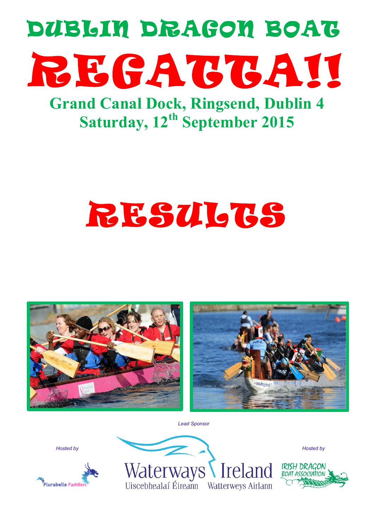

**Grand Canal Dock, Ringsend, Dublin 4 Saturday, 12th September 2015**

# RESULTS





*Lead Sponsor*

*Hosted by*





IRISH DRAGON

*Hosted by*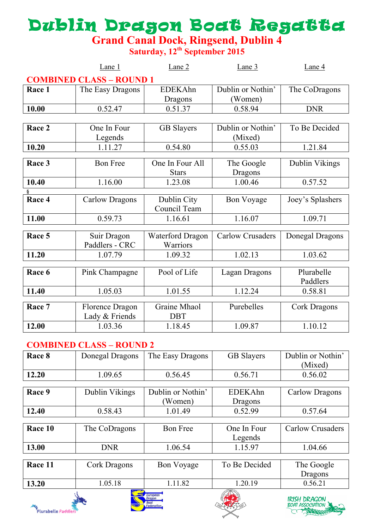## Dublin Dragon Boat Regatta

**Grand Canal Dock, Ringsend, Dublin 4**

**Saturday, 12th September 2015**

|        | Lane 1                          | Lane <sub>2</sub>       | Lane 3                  | Lane 4           |
|--------|---------------------------------|-------------------------|-------------------------|------------------|
|        | <b>COMBINED CLASS - ROUND 1</b> |                         |                         |                  |
| Race 1 | The Easy Dragons                | <b>EDEKAhn</b>          | Dublin or Nothin'       | The CoDragons    |
|        |                                 | Dragons                 | (Women)                 |                  |
| 10.00  | 0.52.47                         | 0.51.37                 | 0.58.94                 | <b>DNR</b>       |
|        |                                 |                         |                         |                  |
| Race 2 | One In Four                     | <b>GB</b> Slayers       | Dublin or Nothin'       | To Be Decided    |
|        | Legends                         |                         | (Mixed)                 |                  |
| 10.20  | 1.11.27                         | 0.54.80                 | 0.55.03                 | 1.21.84          |
| Race 3 | <b>Bon Free</b>                 | One In Four All         | The Google              | Dublin Vikings   |
|        |                                 | <b>Stars</b>            | Dragons                 |                  |
| 10.40  | 1.16.00                         | 1.23.08                 | 1.00.46                 | 0.57.52          |
|        |                                 |                         |                         |                  |
| Race 4 | <b>Carlow Dragons</b>           | Dublin City             | <b>Bon Voyage</b>       | Joey's Splashers |
|        |                                 | Council Team            |                         |                  |
| 11.00  | 0.59.73                         | 1.16.61                 | 1.16.07                 | 1.09.71          |
|        |                                 |                         |                         |                  |
| Race 5 | Suir Dragon                     | <b>Waterford Dragon</b> | <b>Carlow Crusaders</b> | Donegal Dragons  |
|        | Paddlers - CRC                  | Warriors                |                         |                  |
| 11.20  | 1.07.79                         | 1.09.32                 | 1.02.13                 | 1.03.62          |
| Race 6 | Pink Champagne                  | Pool of Life            | <b>Lagan Dragons</b>    | Plurabelle       |
|        |                                 |                         |                         | Paddlers         |
| 11.40  | 1.05.03                         | 1.01.55                 | 1.12.24                 | 0.58.81          |
|        |                                 |                         |                         |                  |
| Race 7 | Florence Dragon                 | Graine Mhaol            | Purebelles              | Cork Dragons     |
|        | Lady & Friends                  | <b>DBT</b>              |                         |                  |
| 12.00  | 1.03.36                         | 1.18.45                 | 1.09.87                 | 1.10.12          |

#### **COMBINED CLASS – ROUND 2**

| Race 8  | Donegal Dragons       | The Easy Dragons  | <b>GB</b> Slayers        | Dublin or Nothin'       |
|---------|-----------------------|-------------------|--------------------------|-------------------------|
|         |                       |                   |                          | (Mixed)                 |
| 12.20   | 1.09.65               | 0.56.45           | 0.56.71                  | 0.56.02                 |
|         |                       |                   |                          |                         |
| Race 9  | Dublin Vikings        | Dublin or Nothin' | <b>EDEKAhn</b>           | <b>Carlow Dragons</b>   |
|         |                       | (Women)           | Dragons                  |                         |
| 12.40   | 0.58.43               | 1.01.49           | 0.52.99                  | 0.57.64                 |
|         |                       |                   |                          |                         |
| Race 10 | The CoDragons         | <b>Bon Free</b>   | One In Four              | <b>Carlow Crusaders</b> |
|         |                       |                   | Legends                  |                         |
| 13.00   | <b>DNR</b>            | 1.06.54           | 1.15.97                  | 1.04.66                 |
|         |                       |                   |                          |                         |
| Race 11 | Cork Dragons          | <b>Bon Voyage</b> | To Be Decided            | The Google              |
|         |                       |                   |                          | <b>Dragons</b>          |
| 13.20   | 1.05.18<br>$\sqrt{2}$ | 1.11.82           | 1.20.19<br>AL DRAGON BOL | 0.56.21                 |







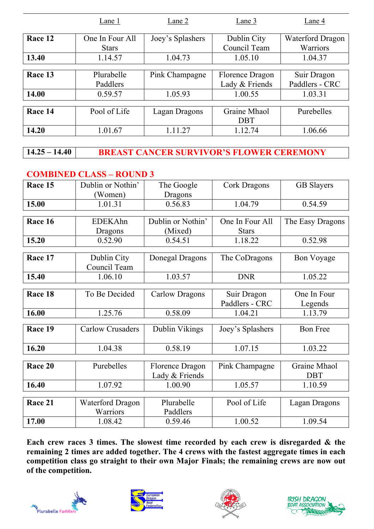|         | Lane 1                          | Lane 2           | Lane 3                      | Lane 4                              |
|---------|---------------------------------|------------------|-----------------------------|-------------------------------------|
| Race 12 | One In Four All<br><b>Stars</b> | Joey's Splashers | Dublin City<br>Council Team | <b>Waterford Dragon</b><br>Warriors |
| 13.40   | 1.14.57                         | 1.04.73          | 1.05.10                     | 1.04.37                             |
|         |                                 |                  |                             |                                     |
| Race 13 | Plurabelle                      | Pink Champagne   | Florence Dragon             | Suir Dragon                         |
|         | Paddlers                        |                  | Lady & Friends              | Paddlers - CRC                      |
| 14.00   | 0.59.57                         | 1.05.93          | 1.00.55                     | 1.03.31                             |
|         |                                 |                  |                             |                                     |
| Race 14 | Pool of Life                    | Lagan Dragons    | Graine Mhaol                | Purebelles                          |
|         |                                 |                  | <b>DBT</b>                  |                                     |
| 14.20   | 1.01.67                         | 1.11.27          | 1.12.74                     | 1.06.66                             |

**14.25 – 14.40 BREAST CANCER SURVIVOR'S FLOWER CEREMONY**

#### **COMBINED CLASS – ROUND 3**

| Race 15 | Dublin or Nothin'       | The Google        | <b>Cork Dragons</b> | <b>GB</b> Slayers |
|---------|-------------------------|-------------------|---------------------|-------------------|
|         | (Women)                 | Dragons           |                     |                   |
| 15.00   | 1.01.31                 | 0.56.83           | 1.04.79             | 0.54.59           |
|         |                         |                   |                     |                   |
| Race 16 | <b>EDEKAhn</b>          | Dublin or Nothin' | One In Four All     | The Easy Dragons  |
|         | Dragons                 | (Mixed)           | <b>Stars</b>        |                   |
| 15.20   | 0.52.90                 | 0.54.51           | 1.18.22             | 0.52.98           |
|         |                         |                   |                     |                   |
| Race 17 | Dublin City             | Donegal Dragons   | The CoDragons       | <b>Bon Voyage</b> |
|         | Council Team            |                   |                     |                   |
| 15.40   | 1.06.10                 | 1.03.57           | <b>DNR</b>          | 1.05.22           |
|         |                         |                   |                     |                   |
| Race 18 | To Be Decided           | Carlow Dragons    | Suir Dragon         | One In Four       |
|         |                         |                   | Paddlers - CRC      | Legends           |
| 16.00   | 1.25.76                 | 0.58.09           | 1.04.21             | 1.13.79           |
|         |                         |                   |                     |                   |
| Race 19 | <b>Carlow Crusaders</b> | Dublin Vikings    | Joey's Splashers    | <b>Bon Free</b>   |
| 16.20   | 1.04.38                 | 0.58.19           | 1.07.15             | 1.03.22           |
|         |                         |                   |                     |                   |
| Race 20 | Purebelles              | Florence Dragon   | Pink Champagne      | Graine Mhaol      |
|         |                         | Lady & Friends    |                     | <b>DBT</b>        |
| 16.40   | 1.07.92                 | 1.00.90           | 1.05.57             | 1.10.59           |
|         |                         |                   |                     |                   |
| Race 21 | <b>Waterford Dragon</b> | Plurabelle        | Pool of Life        | Lagan Dragons     |
|         | Warriors                | Paddlers          |                     |                   |
| 17.00   | 1.08.42                 | 0.59.46           | 1.00.52             | 1.09.54           |

**Each crew races 3 times. The slowest time recorded by each crew is disregarded & the remaining 2 times are added together. The 4 crews with the fastest aggregate times in each competition class go straight to their own Major Finals; the remaining crews are now out of the competition.**







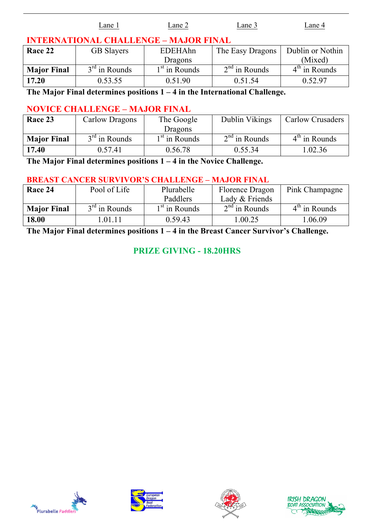|         | Lane 1                                       | Lane 2  | Lane 3                              | Lane 4 |
|---------|----------------------------------------------|---------|-------------------------------------|--------|
|         | <b>INTERNATIONAL CHALLENGE - MAJOR FINAL</b> |         |                                     |        |
| Race 22 | <b>GB</b> Slayers                            | EDEHAhn | The Easy Dragons   Dublin or Nothin |        |

| .                  | U               | ертен с         | $1\,\text{m}$ $\epsilon$ $\mu$ $\mu$ $\epsilon$ $\mu$ $\epsilon$ $\mu$ $\epsilon$ | $D$ ability of $T$ |
|--------------------|-----------------|-----------------|-----------------------------------------------------------------------------------|--------------------|
|                    |                 | <b>Dragons</b>  |                                                                                   | (Mixed)            |
| <b>Major Final</b> | $3rd$ in Rounds | $1st$ in Rounds | $2nd$ in Rounds                                                                   | $4th$ in Rounds    |
| 17.20              | 0.53.55         | 0.51.90         | 0.51.54                                                                           | 0.52.97            |

**The Major Final determines positions 1 – 4 in the International Challenge.**

#### **NOVICE CHALLENGE – MAJOR FINAL**

| Race 23            | Carlow Dragons  | The Google      | Dublin Vikings  | <b>Carlow Crusaders</b> |
|--------------------|-----------------|-----------------|-----------------|-------------------------|
|                    |                 | <b>Dragons</b>  |                 |                         |
| <b>Major Final</b> | $3rd$ in Rounds | $1st$ in Rounds | $2nd$ in Rounds | $4th$ in Rounds         |
| 17.40              | 0.57.41         | 0.56.78         | 0.55.34         | 1.02.36                 |

**The Major Final determines positions 1 – 4 in the Novice Challenge.**

#### **BREAST CANCER SURVIVOR'S CHALLENGE – MAJOR FINAL**

| Race 24            | Pool of Life    | Plurabelle                | Florence Dragon | Pink Champagne  |
|--------------------|-----------------|---------------------------|-----------------|-----------------|
|                    |                 | Paddlers                  | Lady & Friends  |                 |
| <b>Major Final</b> | $3rd$ in Rounds | 1 <sup>st</sup> in Rounds | $2nd$ in Rounds | $4th$ in Rounds |
| 18.00              | .01.11          | 0.59.43                   | .00.25          | .06.09          |

**The Major Final determines positions 1 – 4 in the Breast Cancer Survivor's Challenge.**

#### **PRIZE GIVING - 18.20HRS**